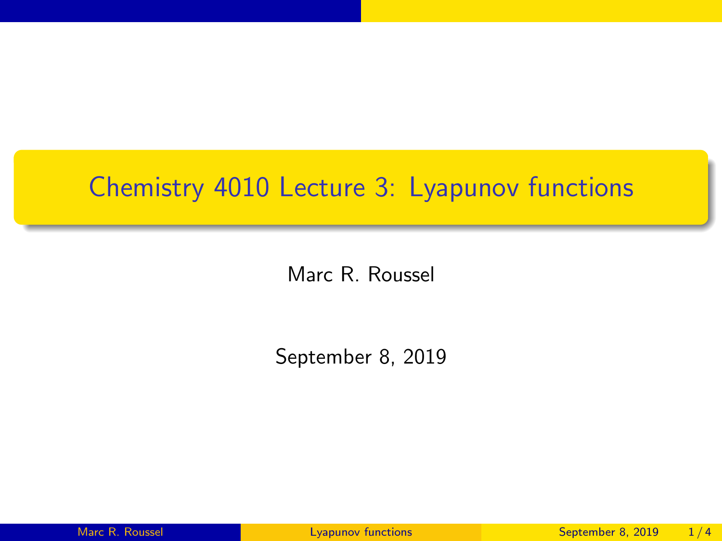## <span id="page-0-0"></span>Chemistry 4010 Lecture 3: Lyapunov functions

Marc R. Roussel

September 8, 2019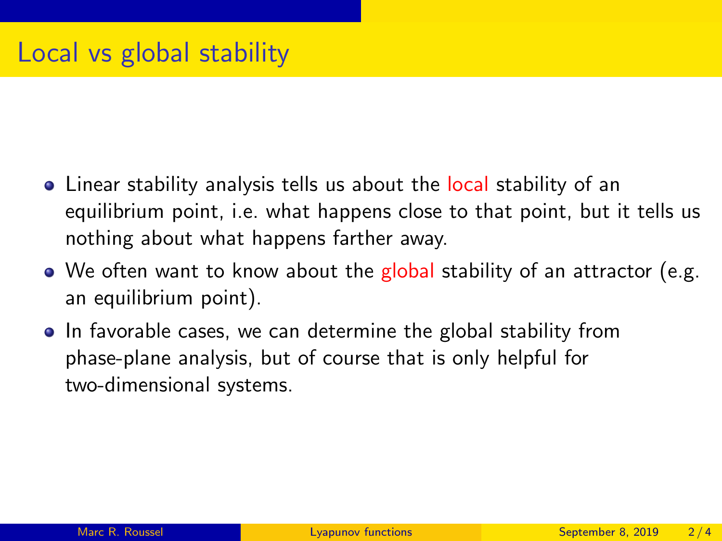- Linear stability analysis tells us about the local stability of an equilibrium point, i.e. what happens close to that point, but it tells us nothing about what happens farther away.
- $\bullet$  We often want to know about the global stability of an attractor (e.g. an equilibrium point).
- In favorable cases, we can determine the global stability from phase-plane analysis, but of course that is only helpful for two-dimensional systems.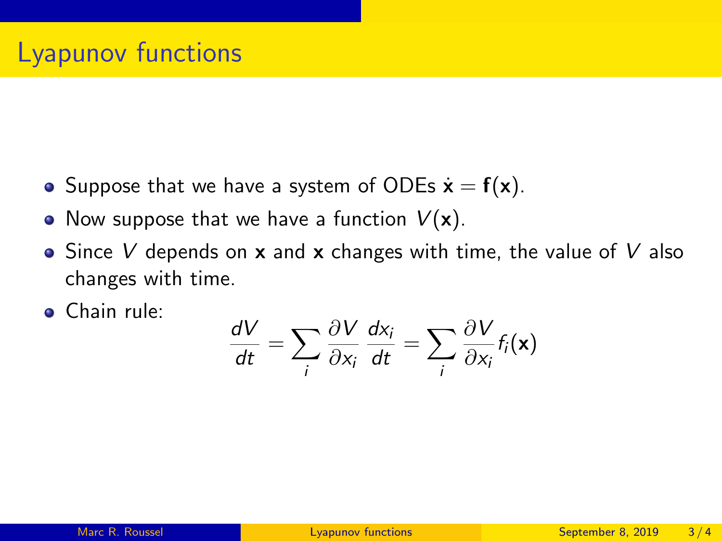- Suppose that we have a system of ODEs  $\dot{\mathbf{x}} = \mathbf{f}(\mathbf{x})$ .
- Now suppose that we have a function  $V(\mathbf{x})$ .
- $\bullet$  Since V depends on **x** and **x** changes with time, the value of V also changes with time.
- **•** Chain rule:

$$
\frac{dV}{dt} = \sum_i \frac{\partial V}{\partial x_i} \frac{dx_i}{dt} = \sum_i \frac{\partial V}{\partial x_i} f_i(\mathbf{x})
$$